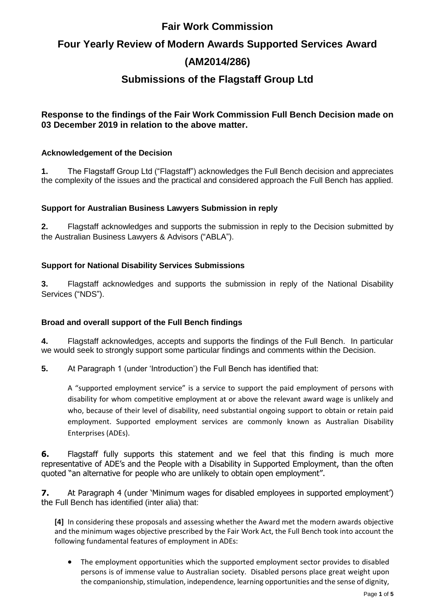## **Fair Work Commission**

# **Four Yearly Review of Modern Awards Supported Services Award (AM2014/286)**

## **Submissions of the Flagstaff Group Ltd**

### **Response to the findings of the Fair Work Commission Full Bench Decision made on 03 December 2019 in relation to the above matter.**

#### **Acknowledgement of the Decision**

**1.** The Flagstaff Group Ltd ("Flagstaff") acknowledges the Full Bench decision and appreciates the complexity of the issues and the practical and considered approach the Full Bench has applied.

#### **Support for Australian Business Lawyers Submission in reply**

**2.** Flagstaff acknowledges and supports the submission in reply to the Decision submitted by the Australian Business Lawyers & Advisors ("ABLA").

#### **Support for National Disability Services Submissions**

**3.** Flagstaff acknowledges and supports the submission in reply of the National Disability Services ("NDS").

#### **Broad and overall support of the Full Bench findings**

**4.** Flagstaff acknowledges, accepts and supports the findings of the Full Bench. In particular we would seek to strongly support some particular findings and comments within the Decision.

**5.** At Paragraph 1 (under 'Introduction') the Full Bench has identified that:

A "supported employment service" is a service to support the paid employment of persons with disability for whom competitive employment at or above the relevant award wage is unlikely and who, because of their level of disability, need substantial ongoing support to obtain or retain paid employment. Supported employment services are commonly known as Australian Disability Enterprises (ADEs).

**6.** Flagstaff fully supports this statement and we feel that this finding is much more representative of ADE's and the People with a Disability in Supported Employment, than the often quoted "an alternative for people who are unlikely to obtain open employment".

**7.** At Paragraph 4 (under 'Minimum wages for disabled employees in supported employment') the Full Bench has identified (inter alia) that:

**[4]** In considering these proposals and assessing whether the Award met the modern awards objective and the minimum wages objective prescribed by the Fair Work Act, the Full Bench took into account the following fundamental features of employment in ADEs:

• The employment opportunities which the supported employment sector provides to disabled persons is of immense value to Australian society. Disabled persons place great weight upon the companionship, stimulation, independence, learning opportunities and the sense of dignity,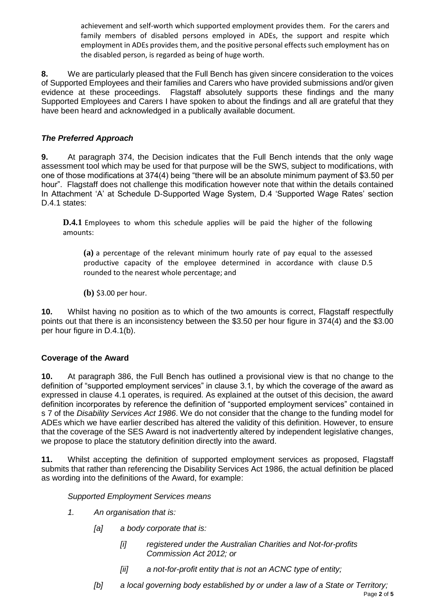achievement and self-worth which supported employment provides them. For the carers and family members of disabled persons employed in ADEs, the support and respite which employment in ADEs provides them, and the positive personal effects such employment has on the disabled person, is regarded as being of huge worth.

**8.** We are particularly pleased that the Full Bench has given sincere consideration to the voices of Supported Employees and their families and Carers who have provided submissions and/or given evidence at these proceedings. Flagstaff absolutely supports these findings and the many Supported Employees and Carers I have spoken to about the findings and all are grateful that they have been heard and acknowledged in a publically available document.

#### *The Preferred Approach*

**9.** At paragraph 374, the Decision indicates that the Full Bench intends that the only wage assessment tool which may be used for that purpose will be the SWS, subject to modifications, with one of those modifications at 374(4) being "there will be an absolute minimum payment of \$3.50 per hour". Flagstaff does not challenge this modification however note that within the details contained In Attachment 'A' at Schedule D-Supported Wage System, D.4 'Supported Wage Rates' section D.4.1 states:

**D.4.1** Employees to whom this schedule applies will be paid the higher of the following amounts:

**(a)** a percentage of the relevant minimum hourly rate of pay equal to the assessed productive capacity of the employee determined in accordance with clause [D.5](https://www.fwc.gov.au/documents/documents/modern_awards/award/ma000103/ma000103-38.htm#P1193_104252) rounded to the nearest whole percentage; and

**(b)** \$3.00 per hour.

**10.** Whilst having no position as to which of the two amounts is correct, Flagstaff respectfully points out that there is an inconsistency between the \$3.50 per hour figure in 374(4) and the \$3.00 per hour figure in D.4.1(b).

#### **Coverage of the Award**

**10.** At paragraph 386, the Full Bench has outlined a provisional view is that no change to the definition of "supported employment services" in clause 3.1, by which the coverage of the award as expressed in clause 4.1 operates, is required. As explained at the outset of this decision, the award definition incorporates by reference the definition of "supported employment services" contained in s 7 of the *Disability Services Act 1986*. We do not consider that the change to the funding model for ADEs which we have earlier described has altered the validity of this definition. However, to ensure that the coverage of the SES Award is not inadvertently altered by independent legislative changes, we propose to place the statutory definition directly into the award.

**11.** Whilst accepting the definition of supported employment services as proposed, Flagstaff submits that rather than referencing the Disability Services Act 1986, the actual definition be placed as wording into the definitions of the Award, for example:

#### *Supported Employment Services means*

- *1. An organisation that is:*
	- *[a] a body corporate that is:*
		- *[i] registered under the Australian Charities and Not-for-profits Commission Act 2012; or*
		- *[ii] a not-for-profit entity that is not an ACNC type of entity;*
	- Page **2** of **5** *[b] a local governing body established by or under a law of a State or Territory;*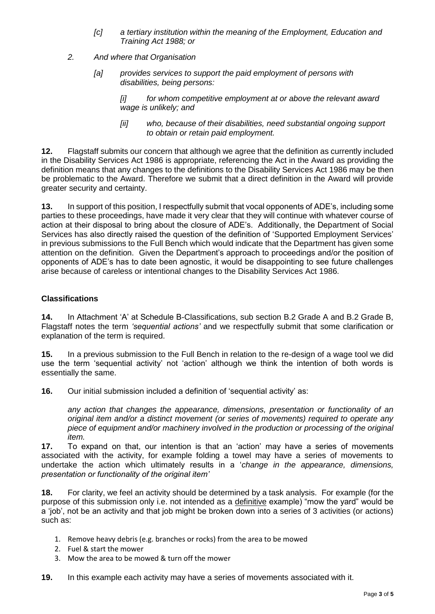- *[c] a tertiary institution within the meaning of the Employment, Education and Training Act 1988; or*
- *2. And where that Organisation*
	- *[a] provides services to support the paid employment of persons with disabilities, being persons:*

*[i] for whom competitive employment at or above the relevant award wage is unlikely; and*

*[ii] who, because of their disabilities, need substantial ongoing support to obtain or retain paid employment.*

**12.** Flagstaff submits our concern that although we agree that the definition as currently included in the Disability Services Act 1986 is appropriate, referencing the Act in the Award as providing the definition means that any changes to the definitions to the Disability Services Act 1986 may be then be problematic to the Award. Therefore we submit that a direct definition in the Award will provide greater security and certainty.

**13.** In support of this position, I respectfully submit that vocal opponents of ADE's, including some parties to these proceedings, have made it very clear that they will continue with whatever course of action at their disposal to bring about the closure of ADE's. Additionally, the Department of Social Services has also directly raised the question of the definition of 'Supported Employment Services' in previous submissions to the Full Bench which would indicate that the Department has given some attention on the definition. Given the Department's approach to proceedings and/or the position of opponents of ADE's has to date been agnostic, it would be disappointing to see future challenges arise because of careless or intentional changes to the Disability Services Act 1986.

#### **Classifications**

**14.** In Attachment 'A' at Schedule B-Classifications, sub section B.2 Grade A and B.2 Grade B, Flagstaff notes the term *'sequential actions'* and we respectfully submit that some clarification or explanation of the term is required.

**15.** In a previous submission to the Full Bench in relation to the re-design of a wage tool we did use the term 'sequential activity' not 'action' although we think the intention of both words is essentially the same.

**16.** Our initial submission included a definition of 'sequential activity' as:

*any action that changes the appearance, dimensions, presentation or functionality of an original item and/or a distinct movement (or series of movements) required to operate any piece of equipment and/or machinery involved in the production or processing of the original item.*

**17.** To expand on that, our intention is that an 'action' may have a series of movements associated with the activity, for example folding a towel may have a series of movements to undertake the action which ultimately results in a '*change in the appearance, dimensions, presentation or functionality of the original item'*

**18.** For clarity, we feel an activity should be determined by a task analysis. For example (for the purpose of this submission only i.e. not intended as a definitive example) "mow the yard" would be a 'job', not be an activity and that job might be broken down into a series of 3 activities (or actions) such as:

- 1. Remove heavy debris (e.g. branches or rocks) from the area to be mowed
- 2. Fuel & start the mower
- 3. Mow the area to be mowed & turn off the mower
- **19.** In this example each activity may have a series of movements associated with it.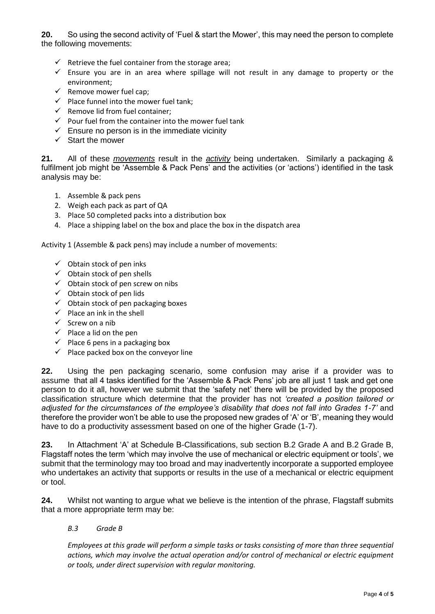**20.** So using the second activity of 'Fuel & start the Mower', this may need the person to complete the following movements:

- $\checkmark$  Retrieve the fuel container from the storage area;
- $\checkmark$  Ensure you are in an area where spillage will not result in any damage to property or the environment;
- $\checkmark$  Remove mower fuel cap;
- $\checkmark$  Place funnel into the mower fuel tank;
- $\checkmark$  Remove lid from fuel container;
- $\checkmark$  Pour fuel from the container into the mower fuel tank
- $\checkmark$  Ensure no person is in the immediate vicinity
- $\checkmark$  Start the mower

**21.** All of these *movements* result in the *activity* being undertaken. Similarly a packaging & fulfilment job might be 'Assemble & Pack Pens' and the activities (or 'actions') identified in the task analysis may be:

- 1. Assemble & pack pens
- 2. Weigh each pack as part of QA
- 3. Place 50 completed packs into a distribution box
- 4. Place a shipping label on the box and place the box in the dispatch area

Activity 1 (Assemble & pack pens) may include a number of movements:

- $\checkmark$  Obtain stock of pen inks
- $\checkmark$  Obtain stock of pen shells
- $\checkmark$  Obtain stock of pen screw on nibs
- $\checkmark$  Obtain stock of pen lids
- ✓ Obtain stock of pen packaging boxes
- $\checkmark$  Place an ink in the shell
- $\checkmark$  Screw on a nib
- $\checkmark$  Place a lid on the pen
- $\checkmark$  Place 6 pens in a packaging box
- $\checkmark$  Place packed box on the convevor line

**22.** Using the pen packaging scenario, some confusion may arise if a provider was to assume that all 4 tasks identified for the 'Assemble & Pack Pens' job are all just 1 task and get one person to do it all, however we submit that the 'safety net' there will be provided by the proposed classification structure which determine that the provider has not *'created a position tailored or adjusted for the circumstances of the employee's disability that does not fall into Grades 1-7'* and therefore the provider won't be able to use the proposed new grades of 'A' or 'B', meaning they would have to do a productivity assessment based on one of the higher Grade (1-7).

**23.** In Attachment 'A' at Schedule B-Classifications, sub section B.2 Grade A and B.2 Grade B, Flagstaff notes the term 'which may involve the use of mechanical or electric equipment or tools', we submit that the terminology may too broad and may inadvertently incorporate a supported employee who undertakes an activity that supports or results in the use of a mechanical or electric equipment or tool.

**24.** Whilst not wanting to argue what we believe is the intention of the phrase, Flagstaff submits that a more appropriate term may be:

#### *B.3 Grade B*

*Employees at this grade will perform a simple tasks or tasks consisting of more than three sequential actions, which may involve the actual operation and/or control of mechanical or electric equipment or tools, under direct supervision with regular monitoring.*